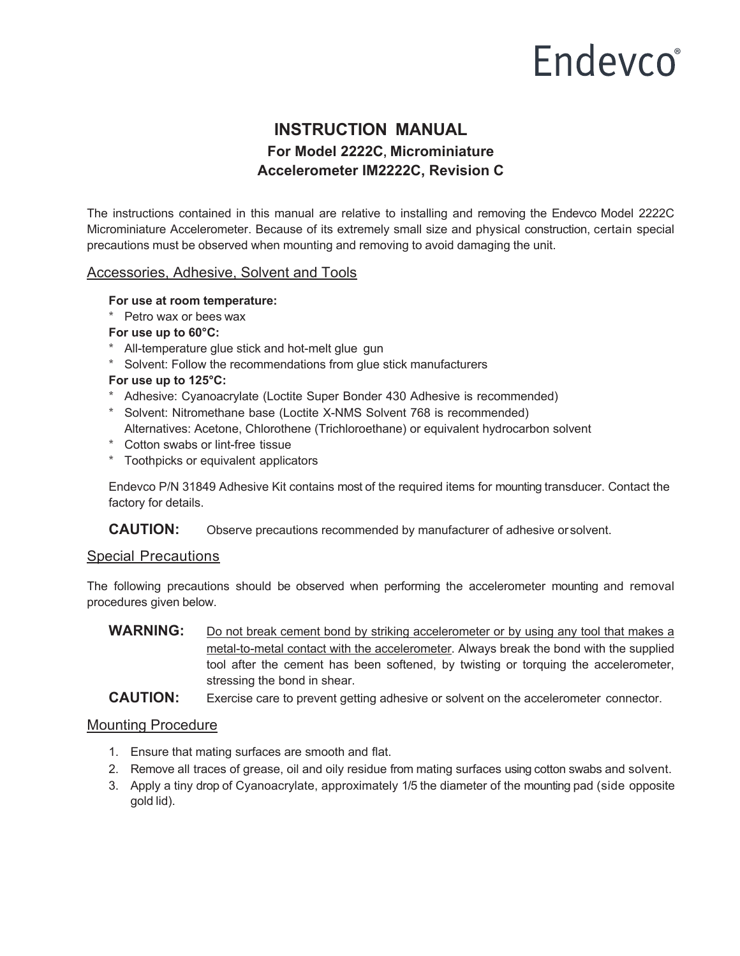# **Endevco**<sup>®</sup>

## **INSTRUCTION MANUAL For Model 2222C, Microminiature Accelerometer IM2222C, Revision C**

The instructions contained in this manual are relative to installing and removing the Endevco Model 2222C Microminiature Accelerometer. Because of its extremely small size and physical construction, certain special precautions must be observed when mounting and removing to avoid damaging the unit.

#### Accessories, Adhesive, Solvent and Tools

#### **For use at room temperature:**

\* Petro wax or bees wax

#### **For use up to 60°C:**

- \* All-temperature glue stick and hot-melt glue gun
- \* Solvent: Follow the recommendations from glue stick manufacturers

#### **For use up to 125°C:**

- \* Adhesive: Cyanoacrylate (Loctite Super Bonder 430 Adhesive is recommended)
- \* Solvent: Nitromethane base (Loctite X-NMS Solvent 768 is recommended) Alternatives: Acetone, Chlorothene (Trichloroethane) or equivalent hydrocarbon solvent
- \* Cotton swabs or lint-free tissue
- \* Toothpicks or equivalent applicators

Endevco P/N 31849 Adhesive Kit contains most of the required items for mounting transducer. Contact the factory for details.

**CAUTION:** Observe precautions recommended by manufacturer of adhesive or solvent.

#### Special Precautions

The following precautions should be observed when performing the accelerometer mounting and removal procedures given below.

WARNING: Do not break cement bond by striking accelerometer or by using any tool that makes a metal-to-metal contact with the accelerometer. Always break the bond with the supplied tool after the cement has been softened, by twisting or torquing the accelerometer, stressing the bond in shear.

**CAUTION:** Exercise care to prevent getting adhesive or solvent on the accelerometer connector.

#### Mounting Procedure

- 1. Ensure that mating surfaces are smooth and flat.
- 2. Remove all traces of grease, oil and oily residue from mating surfaces using cotton swabs and solvent.
- 3. Apply a tiny drop of Cyanoacrylate, approximately 1/5 the diameter of the mounting pad (side opposite gold lid).